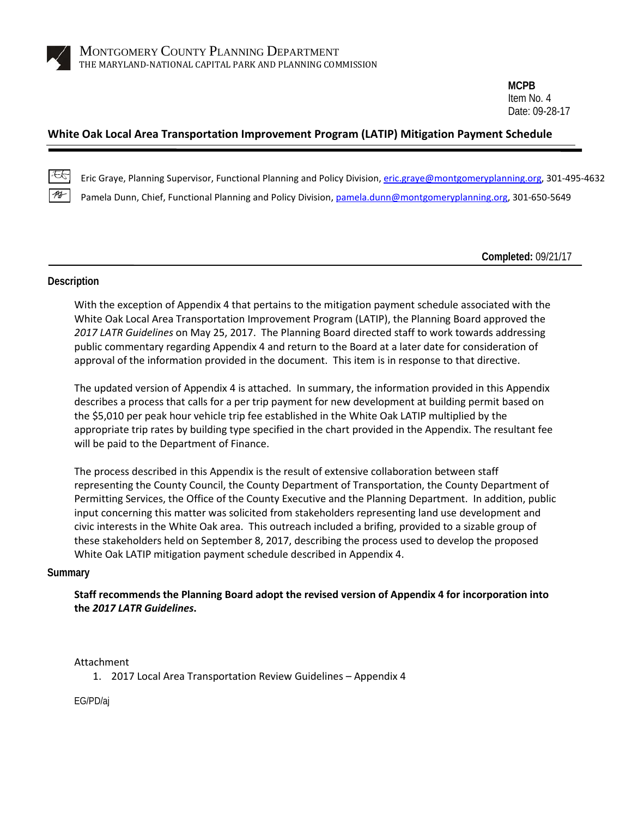

**MCPB** Item No. 4 Date: 09-28-17

## **White Oak Local Area Transportation Improvement Program (LATIP) Mitigation Payment Schedule**

Eric Graye, Planning Supervisor, Functional Planning and Policy Division, [eric.graye@montgomeryplanning.org,](mailto:eric.graye@montgomeryplanning.org) 301-495-4632 Pamela Dunn, Chief, Functional Planning and Policy Division[, pamela.dunn@montgomeryplanning.org,](mailto:pamela.dunn@montgomeryplanning.org) 301-650-5649

**Completed:** 09/21/17

#### **Description**

With the exception of Appendix 4 that pertains to the mitigation payment schedule associated with the White Oak Local Area Transportation Improvement Program (LATIP), the Planning Board approved the *2017 LATR Guidelines* on May 25, 2017. The Planning Board directed staff to work towards addressing public commentary regarding Appendix 4 and return to the Board at a later date for consideration of approval of the information provided in the document. This item is in response to that directive.

The updated version of Appendix 4 is attached. In summary, the information provided in this Appendix describes a process that calls for a per trip payment for new development at building permit based on the \$5,010 per peak hour vehicle trip fee established in the White Oak LATIP multiplied by the appropriate trip rates by building type specified in the chart provided in the Appendix. The resultant fee will be paid to the Department of Finance.

The process described in this Appendix is the result of extensive collaboration between staff representing the County Council, the County Department of Transportation, the County Department of Permitting Services, the Office of the County Executive and the Planning Department. In addition, public input concerning this matter was solicited from stakeholders representing land use development and civic interests in the White Oak area. This outreach included a brifing, provided to a sizable group of these stakeholders held on September 8, 2017, describing the process used to develop the proposed White Oak LATIP mitigation payment schedule described in Appendix 4.

#### **Summary**

**Staff recommends the Planning Board adopt the revised version of Appendix 4 for incorporation into the** *2017 LATR Guidelines***.** 

### Attachment

1. 2017 Local Area Transportation Review Guidelines – Appendix 4

EG/PD/aj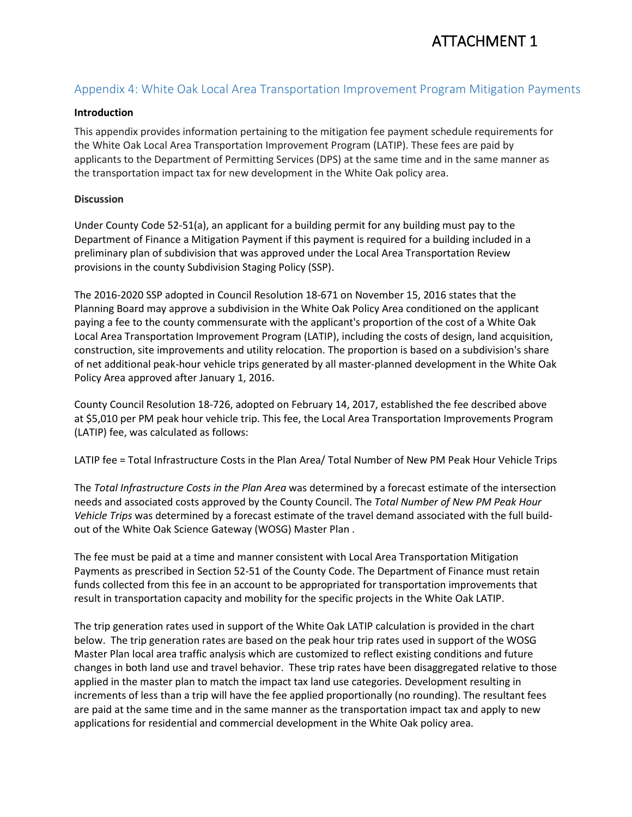# ATTACHMENT 1

# Appendix 4: White Oak Local Area Transportation Improvement Program Mitigation Payments

## **Introduction**

This appendix provides information pertaining to the mitigation fee payment schedule requirements for the White Oak Local Area Transportation Improvement Program (LATIP). These fees are paid by applicants to the Department of Permitting Services (DPS) at the same time and in the same manner as the transportation impact tax for new development in the White Oak policy area.

## **Discussion**

Under County Code 52-51(a), an applicant for a building permit for any building must pay to the Department of Finance a Mitigation Payment if this payment is required for a building included in a preliminary plan of subdivision that was approved under the Local Area Transportation Review provisions in the county Subdivision Staging Policy (SSP).

The 2016-2020 SSP adopted in Council Resolution 18-671 on November 15, 2016 states that the Planning Board may approve a subdivision in the White Oak Policy Area conditioned on the applicant paying a fee to the county commensurate with the applicant's proportion of the cost of a White Oak Local Area Transportation Improvement Program (LATIP), including the costs of design, land acquisition, construction, site improvements and utility relocation. The proportion is based on a subdivision's share of net additional peak-hour vehicle trips generated by all master-planned development in the White Oak Policy Area approved after January 1, 2016.

County Council Resolution 18-726, adopted on February 14, 2017, established the fee described above at \$5,010 per PM peak hour vehicle trip. This fee, the Local Area Transportation Improvements Program (LATIP) fee, was calculated as follows:

LATIP fee = Total Infrastructure Costs in the Plan Area/ Total Number of New PM Peak Hour Vehicle Trips

The *Total Infrastructure Costs in the Plan Area* was determined by a forecast estimate of the intersection needs and associated costs approved by the County Council. The *Total Number of New PM Peak Hour Vehicle Trips* was determined by a forecast estimate of the travel demand associated with the full buildout of the White Oak Science Gateway (WOSG) Master Plan .

The fee must be paid at a time and manner consistent with Local Area Transportation Mitigation Payments as prescribed in Section 52-51 of the County Code. The Department of Finance must retain funds collected from this fee in an account to be appropriated for transportation improvements that result in transportation capacity and mobility for the specific projects in the White Oak LATIP.

The trip generation rates used in support of the White Oak LATIP calculation is provided in the chart below. The trip generation rates are based on the peak hour trip rates used in support of the WOSG Master Plan local area traffic analysis which are customized to reflect existing conditions and future changes in both land use and travel behavior. These trip rates have been disaggregated relative to those applied in the master plan to match the impact tax land use categories. Development resulting in increments of less than a trip will have the fee applied proportionally (no rounding). The resultant fees are paid at the same time and in the same manner as the transportation impact tax and apply to new applications for residential and commercial development in the White Oak policy area.